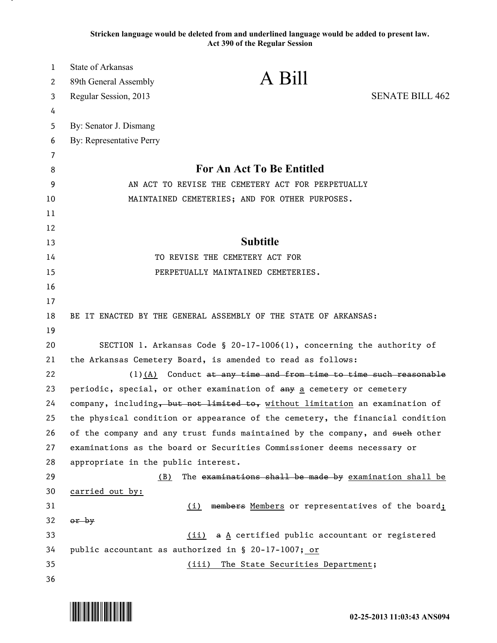**Stricken language would be deleted from and underlined language would be added to present law. Act 390 of the Regular Session**

| 1  | State of Arkansas                                                             |                                                        |                        |
|----|-------------------------------------------------------------------------------|--------------------------------------------------------|------------------------|
| 2  | 89th General Assembly                                                         | A Bill                                                 |                        |
| 3  | Regular Session, 2013                                                         |                                                        | <b>SENATE BILL 462</b> |
| 4  |                                                                               |                                                        |                        |
| 5  | By: Senator J. Dismang                                                        |                                                        |                        |
| 6  | By: Representative Perry                                                      |                                                        |                        |
| 7  |                                                                               |                                                        |                        |
| 8  | For An Act To Be Entitled                                                     |                                                        |                        |
| 9  | AN ACT TO REVISE THE CEMETERY ACT FOR PERPETUALLY                             |                                                        |                        |
| 10 | MAINTAINED CEMETERIES; AND FOR OTHER PURPOSES.                                |                                                        |                        |
| 11 |                                                                               |                                                        |                        |
| 12 |                                                                               |                                                        |                        |
| 13 | <b>Subtitle</b>                                                               |                                                        |                        |
| 14 | TO REVISE THE CEMETERY ACT FOR                                                |                                                        |                        |
| 15 |                                                                               | PERPETUALLY MAINTAINED CEMETERIES.                     |                        |
| 16 |                                                                               |                                                        |                        |
| 17 |                                                                               |                                                        |                        |
| 18 | BE IT ENACTED BY THE GENERAL ASSEMBLY OF THE STATE OF ARKANSAS:               |                                                        |                        |
| 19 |                                                                               |                                                        |                        |
| 20 | SECTION 1. Arkansas Code § 20-17-1006(1), concerning the authority of         |                                                        |                        |
| 21 | the Arkansas Cemetery Board, is amended to read as follows:                   |                                                        |                        |
| 22 | $(1)$ $(A)$ Conduct at any time and from time to time such reasonable         |                                                        |                        |
| 23 | periodic, special, or other examination of any a cemetery or cemetery         |                                                        |                        |
| 24 | company, including, but not limited to, without limitation an examination of  |                                                        |                        |
| 25 | the physical condition or appearance of the cemetery, the financial condition |                                                        |                        |
| 26 | of the company and any trust funds maintained by the company, and such other  |                                                        |                        |
| 27 | examinations as the board or Securities Commissioner deems necessary or       |                                                        |                        |
| 28 | appropriate in the public interest.                                           |                                                        |                        |
| 29 | (B)                                                                           | The examinations shall be made by examination shall be |                        |
| 30 | carried out by:                                                               |                                                        |                        |
| 31 |                                                                               | (i) members Members or representatives of the board;   |                        |
| 32 | or by                                                                         |                                                        |                        |
| 33 |                                                                               | (ii) a A certified public accountant or registered     |                        |
| 34 | public accountant as authorized in § 20-17-1007; or                           |                                                        |                        |
| 35 |                                                                               | (iii) The State Securities Department;                 |                        |
| 36 |                                                                               |                                                        |                        |

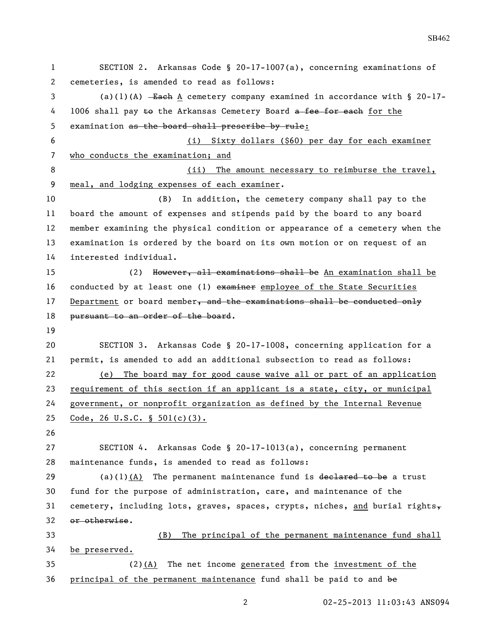SECTION 2. Arkansas Code § 20-17-1007(a), concerning examinations of cemeteries, is amended to read as follows: (a)(1)(A) Each A cemetery company examined in accordance with § 20-17- 4 1006 shall pay to the Arkansas Cemetery Board a fee for each for the examination as the board shall prescribe by rule: (i) Sixty dollars (\$60) per day for each examiner who conducts the examination; and 8 (ii) The amount necessary to reimburse the travel, meal, and lodging expenses of each examiner. (B) In addition, the cemetery company shall pay to the board the amount of expenses and stipends paid by the board to any board member examining the physical condition or appearance of a cemetery when the examination is ordered by the board on its own motion or on request of an interested individual. (2) However, all examinations shall be An examination shall be 16 conducted by at least one (1) examiner employee of the State Securities 17 Department or board member, and the examinations shall be conducted only 18 pursuant to an order of the board. SECTION 3. Arkansas Code § 20-17-1008, concerning application for a permit, is amended to add an additional subsection to read as follows: (e) The board may for good cause waive all or part of an application requirement of this section if an applicant is a state, city, or municipal government, or nonprofit organization as defined by the Internal Revenue Code, 26 U.S.C. § 501(c)(3). SECTION 4. Arkansas Code § 20-17-1013(a), concerning permanent maintenance funds, is amended to read as follows: 29 (a)(1)(A) The permanent maintenance fund is declared to be a trust fund for the purpose of administration, care, and maintenance of the 31 cemetery, including lots, graves, spaces, crypts, niches, and burial rights $_{\tau}$  or otherwise. (B) The principal of the permanent maintenance fund shall be preserved. (2)(A) The net income generated from the investment of the principal of the permanent maintenance fund shall be paid to and be

SB462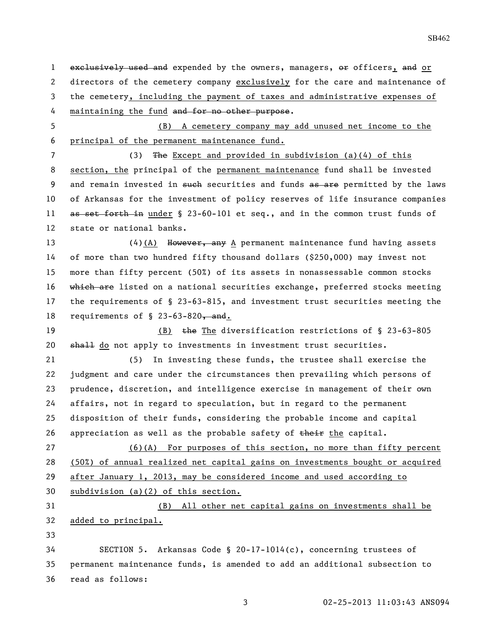1 exclusively used and expended by the owners, managers, or officers, and or directors of the cemetery company exclusively for the care and maintenance of the cemetery, including the payment of taxes and administrative expenses of

4 maintaining the fund and for no other purpose.

 (B) A cemetery company may add unused net income to the principal of the permanent maintenance fund.

 (3) The Except and provided in subdivision (a)(4) of this section, the principal of the permanent maintenance fund shall be invested 9 and remain invested in such securities and funds as are permitted by the laws of Arkansas for the investment of policy reserves of life insurance companies 11 as set forth in under § 23-60-101 et seq., and in the common trust funds of state or national banks.

13 (4)(A) However, any A permanent maintenance fund having assets of more than two hundred fifty thousand dollars (\$250,000) may invest not more than fifty percent (50%) of its assets in nonassessable common stocks 16 which are listed on a national securities exchange, preferred stocks meeting the requirements of § 23-63-815, and investment trust securities meeting the 18 requirements of  $\S$  23-63-820, and.

19 (B) the The diversification restrictions of § 23-63-805 20 shall do not apply to investments in investment trust securities.

 (5) In investing these funds, the trustee shall exercise the judgment and care under the circumstances then prevailing which persons of prudence, discretion, and intelligence exercise in management of their own affairs, not in regard to speculation, but in regard to the permanent disposition of their funds, considering the probable income and capital 26 appreciation as well as the probable safety of  $\frac{1}{k}$  the capital.

 (6)(A) For purposes of this section, no more than fifty percent (50%) of annual realized net capital gains on investments bought or acquired after January 1, 2013, may be considered income and used according to subdivision (a)(2) of this section.

 (B) All other net capital gains on investments shall be added to principal.

 SECTION 5. Arkansas Code § 20-17-1014(c), concerning trustees of permanent maintenance funds, is amended to add an additional subsection to read as follows: